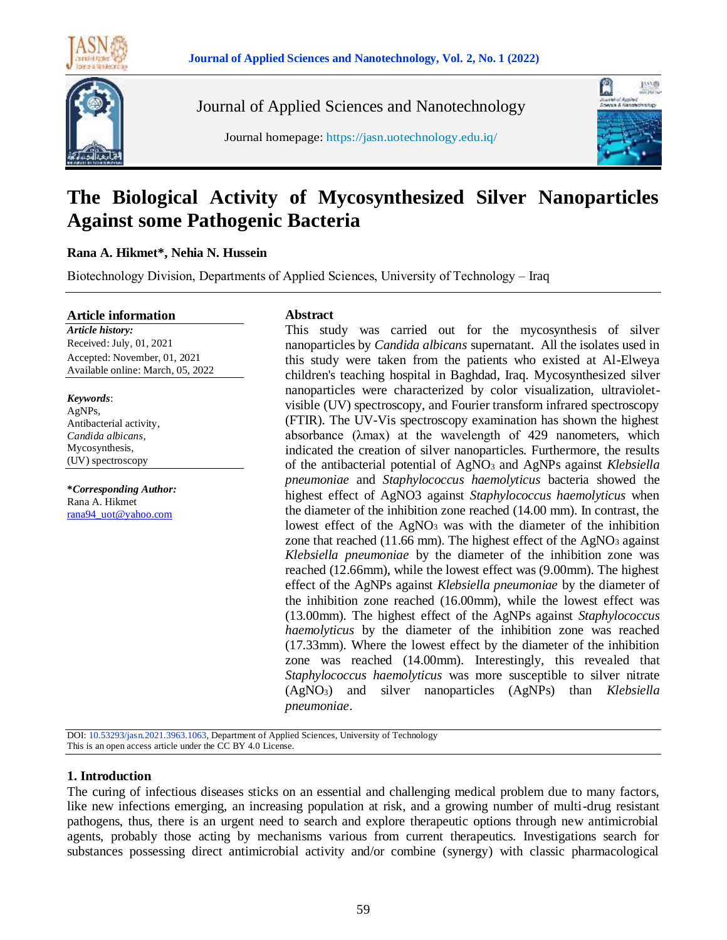



Journal of Applied Sciences and Nanotechnology

Journal homepage: https://jasn.uotechnology.edu.iq/



# **The Biological Activity of Mycosynthesized Silver Nanoparticles Against some Pathogenic Bacteria**

#### **Rana A. Hikmet\*, Nehia N. Hussein**

Biotechnology Division, Departments of Applied Sciences, University of Technology – Iraq

#### **Article information**

*Article history:* Received: July, 01, 2021 Accepted: November, 01, 2021 Available online: March, 05, 2022

*Keywords*: AgNPs, Antibacterial activity, *Candida albicans*, Mycosynthesis, (UV) spectroscopy

**\****Corresponding Author:* Rana A. Hikmet [rana94\\_uot@yahoo.com](mailto:email@domain.com)

#### **Abstract**

This study was carried out for the mycosynthesis of silver nanoparticles by *Candida albicans* supernatant. All the isolates used in this study were taken from the patients who existed at Al-Elweya children's teaching hospital in Baghdad, Iraq. Mycosynthesized silver nanoparticles were characterized by color visualization, ultravioletvisible (UV) spectroscopy, and Fourier transform infrared spectroscopy (FTIR). The UV-Vis spectroscopy examination has shown the highest absorbance (λmax) at the wavelength of 429 nanometers, which indicated the creation of silver nanoparticles. Furthermore, the results of the antibacterial potential of AgNO<sup>3</sup> and AgNPs against *Klebsiella pneumoniae* and *Staphylococcus haemolyticus* bacteria showed the highest effect of AgNO3 against *Staphylococcus haemolyticus* when the diameter of the inhibition zone reached (14.00 mm). In contrast, the lowest effect of the AgNO<sub>3</sub> was with the diameter of the inhibition zone that reached  $(11.66 \text{ mm})$ . The highest effect of the AgNO<sub>3</sub> against *Klebsiella pneumoniae* by the diameter of the inhibition zone was reached (12.66mm), while the lowest effect was (9.00mm). The highest effect of the AgNPs against *Klebsiella pneumoniae* by the diameter of the inhibition zone reached (16.00mm), while the lowest effect was (13.00mm). The highest effect of the AgNPs against *Staphylococcus haemolyticus* by the diameter of the inhibition zone was reached (17.33mm). Where the lowest effect by the diameter of the inhibition zone was reached (14.00mm). Interestingly, this revealed that *Staphylococcus haemolyticus* was more susceptible to silver nitrate (AgNO3) and silver nanoparticles (AgNPs) than *Klebsiella pneumoniae*.

DOI: 10.53293/jasn.2021.3963.1063, Department of Applied Sciences, University of Technology This is an open access article under the CC BY 4.0 License.

#### **1. Introduction**

The curing of infectious diseases sticks on an essential and challenging medical problem due to many factors, like new infections emerging, an increasing population at risk, and a growing number of multi-drug resistant pathogens, thus, there is an urgent need to search and explore therapeutic options through new antimicrobial agents, probably those acting by mechanisms various from current therapeutics. Investigations search for substances possessing direct antimicrobial activity and/or combine (synergy) with classic pharmacological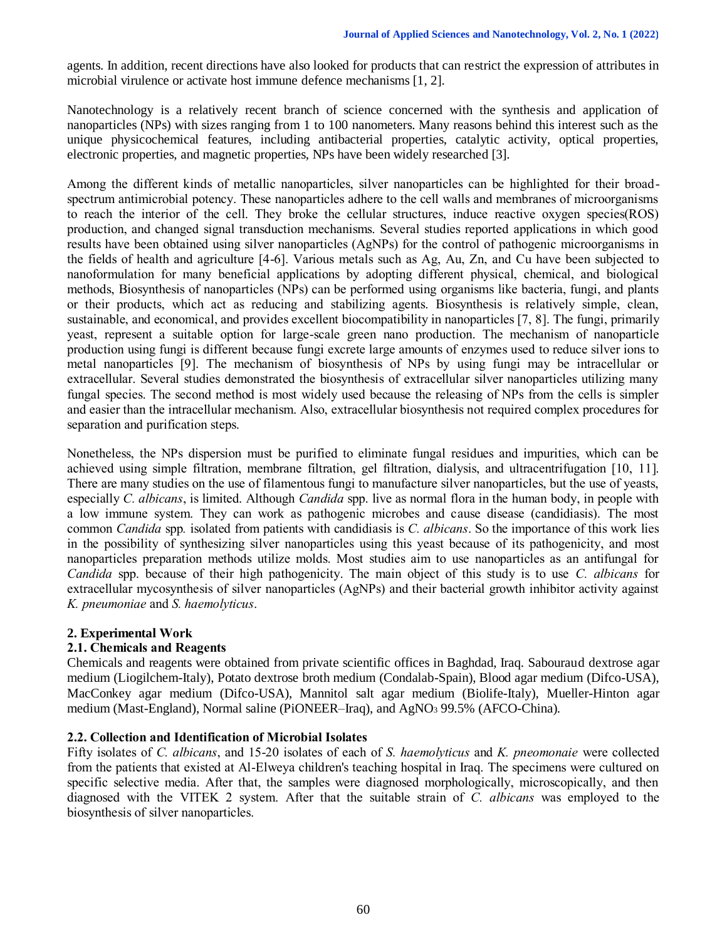agents. In addition, recent directions have also looked for products that can restrict the expression of attributes in microbial virulence or activate host immune defence mechanisms [1, 2].

Nanotechnology is a relatively recent branch of science concerned with the synthesis and application of nanoparticles (NPs) with sizes ranging from 1 to 100 nanometers. Many reasons behind this interest such as the unique physicochemical features, including antibacterial properties, catalytic activity, optical properties, electronic properties, and magnetic properties, NPs have been widely researched [3].

Among the different kinds of metallic nanoparticles, silver nanoparticles can be highlighted for their broadspectrum antimicrobial potency. These nanoparticles adhere to the cell walls and membranes of microorganisms to reach the interior of the cell. They broke the cellular structures, induce reactive oxygen species(ROS) production, and changed signal transduction mechanisms. Several studies reported applications in which good results have been obtained using silver nanoparticles (AgNPs) for the control of pathogenic microorganisms in the fields of health and agriculture [4-6]. Various metals such as Ag, Au, Zn, and Cu have been subjected to nanoformulation for many beneficial applications by adopting different physical, chemical, and biological methods, Biosynthesis of nanoparticles (NPs) can be performed using organisms like bacteria, fungi, and plants or their products, which act as reducing and stabilizing agents. Biosynthesis is relatively simple, clean, sustainable, and economical, and provides excellent biocompatibility in nanoparticles [7, 8]. The fungi, primarily yeast, represent a suitable option for large-scale green nano production. The mechanism of nanoparticle production using fungi is different because fungi excrete large amounts of enzymes used to reduce silver ions to metal nanoparticles [9]. The mechanism of biosynthesis of NPs by using fungi may be intracellular or extracellular. Several studies demonstrated the biosynthesis of extracellular silver nanoparticles utilizing many fungal species. The second method is most widely used because the releasing of NPs from the cells is simpler and easier than the intracellular mechanism. Also, extracellular biosynthesis not required complex procedures for separation and purification steps.

Nonetheless, the NPs dispersion must be purified to eliminate fungal residues and impurities, which can be achieved using simple filtration, membrane filtration, gel filtration, dialysis, and ultracentrifugation [10, 11]. There are many studies on the use of filamentous fungi to manufacture silver nanoparticles, but the use of yeasts, especially *C. albicans*, is limited. Although *Candida* spp. live as normal flora in the human body, in people with a low immune system. They can work as pathogenic microbes and cause disease (candidiasis). The most common *Candida* spp*.* isolated from patients with candidiasis is *C. albicans*. So the importance of this work lies in the possibility of synthesizing silver nanoparticles using this yeast because of its pathogenicity, and most nanoparticles preparation methods utilize molds. Most studies aim to use nanoparticles as an antifungal for *Candida* spp. because of their high pathogenicity. The main object of this study is to use *C. albicans* for extracellular mycosynthesis of silver nanoparticles (AgNPs) and their bacterial growth inhibitor activity against *K. pneumoniae* and *S. haemolyticus*.

## **2. Experimental Work**

## **2.1. Chemicals and Reagents**

Chemicals and reagents were obtained from private scientific offices in Baghdad, Iraq. Sabouraud dextrose agar medium (Liogilchem-Italy), Potato dextrose broth medium (Condalab-Spain), Blood agar medium (Difco-USA), MacConkey agar medium (Difco-USA), Mannitol salt agar medium (Biolife-Italy), Mueller-Hinton agar medium (Mast-England), Normal saline (PiONEER–Iraq), and AgNO<sup>3</sup> 99.5% (AFCO-China).

## **2.2. Collection and Identification of Microbial Isolates**

Fifty isolates of *C. albicans*, and 15-20 isolates of each of *S. haemolyticus* and *K. pneomonaie* were collected from the patients that existed at Al-Elweya children's teaching hospital in Iraq. The specimens were cultured on specific selective media. After that, the samples were diagnosed morphologically, microscopically, and then diagnosed with the VITEK 2 system. After that the suitable strain of *C. albicans* was employed to the biosynthesis of silver nanoparticles.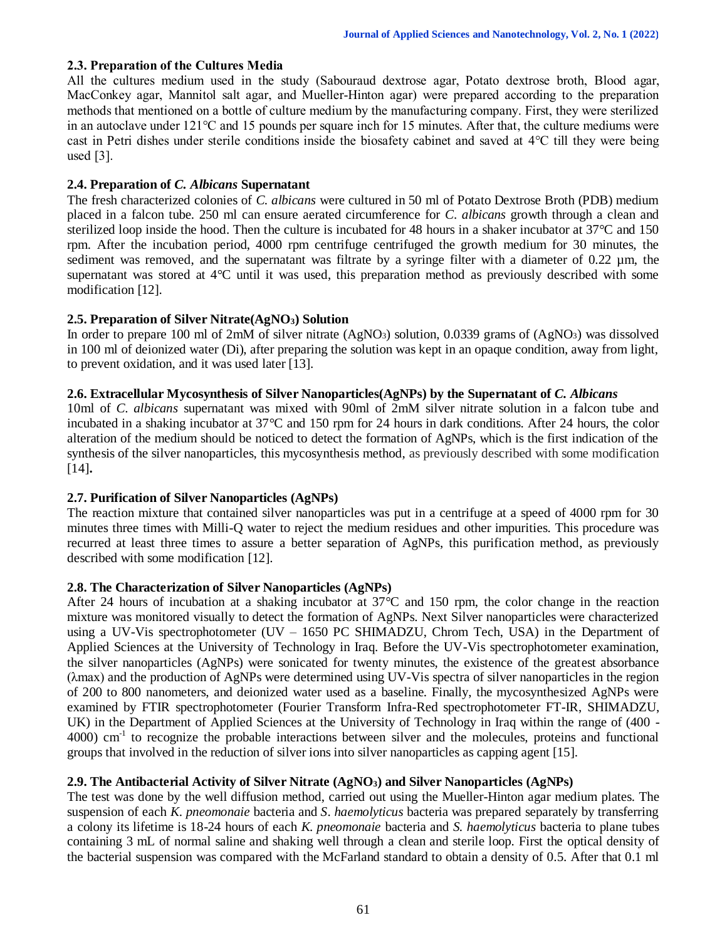# **2.3. Preparation of the Cultures Media**

All the cultures medium used in the study (Sabouraud dextrose agar, Potato dextrose broth, Blood agar, MacConkey agar, Mannitol salt agar, and Mueller-Hinton agar) were prepared according to the preparation methods that mentioned on a bottle of culture medium by the manufacturing company. First, they were sterilized in an autoclave under  $121^{\circ}$ C and 15 pounds per square inch for 15 minutes. After that, the culture mediums were cast in Petri dishes under sterile conditions inside the biosafety cabinet and saved at 4°C till they were being used [3].

## **2.4. Preparation of** *C. Albicans* **Supernatant**

The fresh characterized colonies of *C. albicans* were cultured in 50 ml of Potato Dextrose Broth (PDB) medium placed in a falcon tube. 250 ml can ensure aerated circumference for *C. albicans* growth through a clean and sterilized loop inside the hood. Then the culture is incubated for 48 hours in a shaker incubator at 37°C and 150 rpm. After the incubation period, 4000 rpm centrifuge centrifuged the growth medium for 30 minutes, the sediment was removed, and the supernatant was filtrate by a syringe filter with a diameter of 0.22 µm, the supernatant was stored at 4°C until it was used, this preparation method as previously described with some modification [12].

# **2.5. Preparation of Silver Nitrate(AgNO3) Solution**

In order to prepare 100 ml of 2mM of silver nitrate  $(AgNO<sub>3</sub>)$  solution, 0.0339 grams of  $(AgNO<sub>3</sub>)$  was dissolved in 100 ml of deionized water (Di), after preparing the solution was kept in an opaque condition, away from light, to prevent oxidation, and it was used later [13].

# **2.6. Extracellular Mycosynthesis of Silver Nanoparticles(AgNPs) by the Supernatant of** *C. Albicans*

10ml of *C. albicans* supernatant was mixed with 90ml of 2mM silver nitrate solution in a falcon tube and incubated in a shaking incubator at 37°C and 150 rpm for 24 hours in dark conditions. After 24 hours, the color alteration of the medium should be noticed to detect the formation of AgNPs, which is the first indication of the synthesis of the silver nanoparticles, this mycosynthesis method, as previously described with some modification [14]**.**

## **2.7. Purification of Silver Nanoparticles (AgNPs)**

The reaction mixture that contained silver nanoparticles was put in a centrifuge at a speed of 4000 rpm for 30 minutes three times with Milli-Q water to reject the medium residues and other impurities. This procedure was recurred at least three times to assure a better separation of AgNPs, this purification method, as previously described with some modification [12].

## **2.8. The Characterization of Silver Nanoparticles (AgNPs)**

After 24 hours of incubation at a shaking incubator at 37°C and 150 rpm, the color change in the reaction mixture was monitored visually to detect the formation of AgNPs. Next Silver nanoparticles were characterized using a UV-Vis spectrophotometer (UV – 1650 PC SHIMADZU, Chrom Tech, USA) in the Department of Applied Sciences at the University of Technology in Iraq. Before the UV-Vis spectrophotometer examination, the silver nanoparticles (AgNPs) were sonicated for twenty minutes, the existence of the greatest absorbance (λmax) and the production of AgNPs were determined using UV-Vis spectra of silver nanoparticles in the region of 200 to 800 nanometers, and deionized water used as a baseline. Finally, the mycosynthesized AgNPs were examined by FTIR spectrophotometer (Fourier Transform Infra-Red spectrophotometer FT-IR, SHIMADZU, UK) in the Department of Applied Sciences at the University of Technology in Iraq within the range of (400 - 4000) cm<sup>-1</sup> to recognize the probable interactions between silver and the molecules, proteins and functional groups that involved in the reduction of silver ions into silver nanoparticles as capping agent [15].

## **2.9. The Antibacterial Activity of Silver Nitrate (AgNO3) and Silver Nanoparticles (AgNPs)**

The test was done by the well diffusion method, carried out using the Mueller-Hinton agar medium plates. The suspension of each *K*. *pneomonaie* bacteria and *S*. *haemolyticus* bacteria was prepared separately by transferring a colony its lifetime is 18-24 hours of each *K. pneomonaie* bacteria and *S. haemolyticus* bacteria to plane tubes containing 3 mL of normal saline and shaking well through a clean and sterile loop. First the optical density of the bacterial suspension was compared with the McFarland standard to obtain a density of 0.5. After that 0.1 ml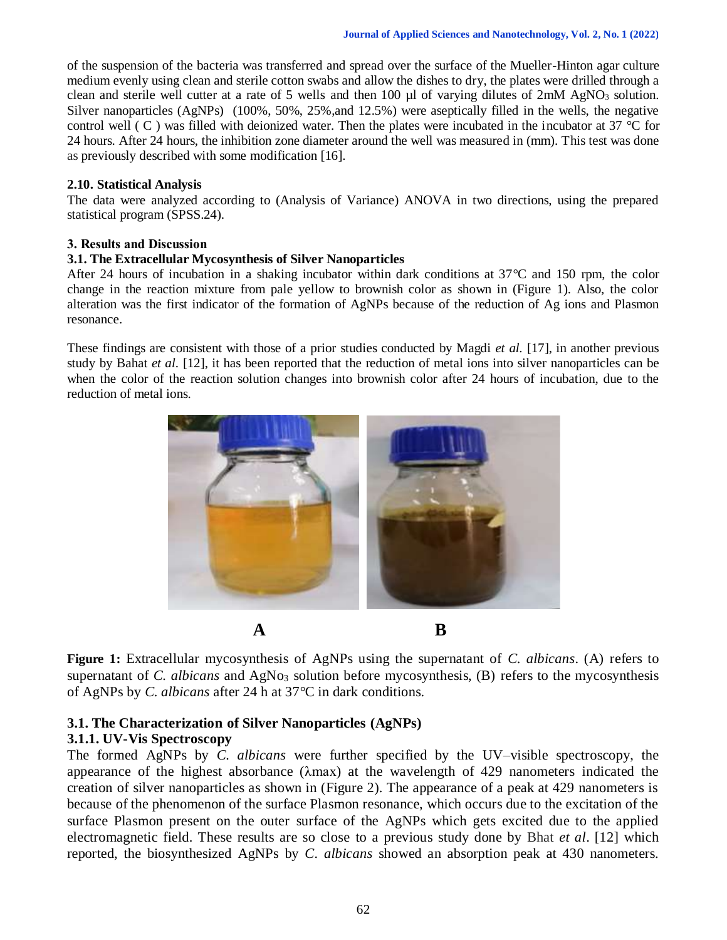of the suspension of the bacteria was transferred and spread over the surface of the Mueller-Hinton agar culture medium evenly using clean and sterile cotton swabs and allow the dishes to dry, the plates were drilled through a clean and sterile well cutter at a rate of 5 wells and then 100  $\mu$ l of varying dilutes of 2mM AgNO<sub>3</sub> solution. Silver nanoparticles (AgNPs) (100%, 50%, 25%,and 12.5%) were aseptically filled in the wells, the negative control well ( $C$ ) was filled with deionized water. Then the plates were incubated in the incubator at 37  $\degree$ C for 24 hours. After 24 hours, the inhibition zone diameter around the well was measured in (mm). This test was done as previously described with some modification [16].

## **2.10. Statistical Analysis**

The data were analyzed according to (Analysis of Variance) ANOVA in two directions, using the prepared statistical program (SPSS.24).

#### **3. Results and Discussion**

## **3.1. The Extracellular Mycosynthesis of Silver Nanoparticles**

After 24 hours of incubation in a shaking incubator within dark conditions at 37°C and 150 rpm, the color change in the reaction mixture from pale yellow to brownish color as shown in (Figure 1). Also, the color alteration was the first indicator of the formation of AgNPs because of the reduction of Ag ions and Plasmon resonance.

These findings are consistent with those of a prior studies conducted by Magdi *et al.* [17], in another previous study by Bahat *et al.* [12], it has been reported that the reduction of metal ions into silver nanoparticles can be when the color of the reaction solution changes into brownish color after 24 hours of incubation, due to the reduction of metal ions.



**Figure 1:** Extracellular mycosynthesis of AgNPs using the supernatant of *C. albicans*. (A) refers to supernatant of *C. albicans* and AgNo<sub>3</sub> solution before mycosynthesis, (B) refers to the mycosynthesis of AgNPs by *C. albicans* after 24 h at 37°C in dark conditions.

# **3.1. The Characterization of Silver Nanoparticles (AgNPs)**

## **3.1.1. UV-Vis Spectroscopy**

The formed AgNPs by *C. albicans* were further specified by the UV–visible spectroscopy, the appearance of the highest absorbance (λmax) at the wavelength of 429 nanometers indicated the creation of silver nanoparticles as shown in (Figure 2). The appearance of a peak at 429 nanometers is because of the phenomenon of the surface Plasmon resonance, which occurs due to the excitation of the surface Plasmon present on the outer surface of the AgNPs which gets excited due to the applied electromagnetic field. These results are so close to a previous study done by Bhat *et al*. [12] which reported, the biosynthesized AgNPs by *C. albicans* showed an absorption peak at 430 nanometers.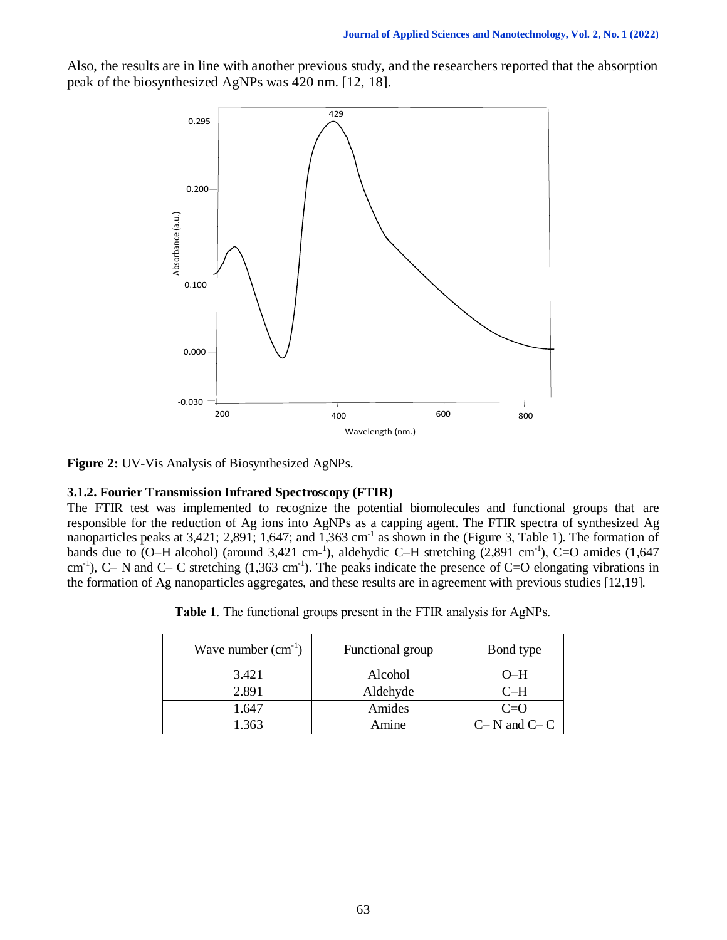Also, the results are in line with another previous study, and the researchers reported that the absorption peak of the biosynthesized AgNPs was 420 nm. [12, 18].



**Figure 2:** UV-Vis Analysis of Biosynthesized AgNPs.

#### **3.1.2. Fourier Transmission Infrared Spectroscopy (FTIR)**

The FTIR test was implemented to recognize the potential biomolecules and functional groups that are responsible for the reduction of Ag ions into AgNPs as a capping agent. The FTIR spectra of synthesized Ag nanoparticles peaks at  $3,421$ ;  $2,891$ ;  $1,647$ ; and  $1,363$  cm<sup>-1</sup> as shown in the (Figure 3, Table 1). The formation of bands due to (O–H alcohol) (around 3,421 cm<sup>-1</sup>), aldehydic C–H stretching (2,891 cm<sup>-1</sup>), C=O amides (1,647 cm<sup>-1</sup>), C– N and C– C stretching (1,363 cm<sup>-1</sup>). The peaks indicate the presence of C=O elongating vibrations in the formation of Ag nanoparticles aggregates, and these results are in agreement with previous studies [12,19].

| Table 1. The functional groups present in the FTIR analysis for AgNPs. |  |  |  |  |
|------------------------------------------------------------------------|--|--|--|--|
|------------------------------------------------------------------------|--|--|--|--|

| Wave number $(cm^{-1})$ | Functional group | Bond type           |
|-------------------------|------------------|---------------------|
| 3.421                   | Alcohol          | O–H                 |
| 2.891                   | Aldehyde         | C-H                 |
| 1.647                   | Amides           | $C=O$               |
| 1.363                   | Amine            | $C - N$ and $C - C$ |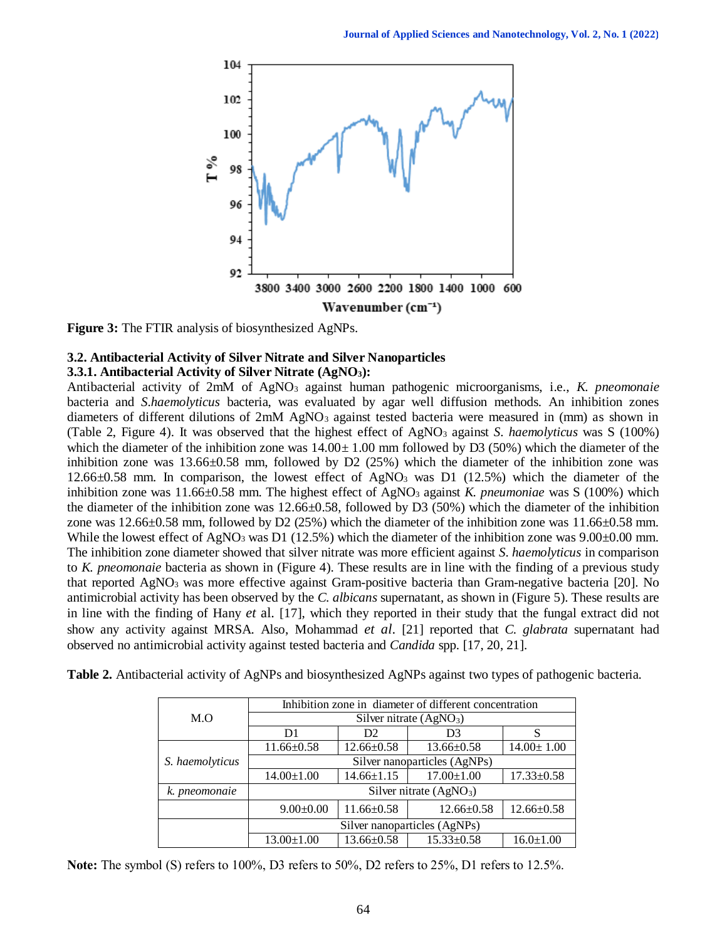

**Figure 3:** The FTIR analysis of biosynthesized AgNPs.

## **3.2. Antibacterial Activity of Silver Nitrate and Silver Nanoparticles**

## **3.3.1. Antibacterial Activity of Silver Nitrate (AgNO3):**

Antibacterial activity of 2mM of AgNO<sup>3</sup> against human pathogenic microorganisms, i.e., *K. pneomonaie*  bacteria and *S.haemolyticus* bacteria, was evaluated by agar well diffusion methods. An inhibition zones diameters of different dilutions of 2mM AgNO<sub>3</sub> against tested bacteria were measured in (mm) as shown in (Table 2, Figure 4). It was observed that the highest effect of AgNO<sup>3</sup> against *S. haemolyticus* was S (100%) which the diameter of the inhibition zone was  $14.00 \pm 1.00$  mm followed by D3 (50%) which the diameter of the inhibition zone was 13.66±0.58 mm, followed by D2 (25%) which the diameter of the inhibition zone was  $12.66\pm0.58$  mm. In comparison, the lowest effect of AgNO<sub>3</sub> was D1 (12.5%) which the diameter of the inhibition zone was 11.66±0.58 mm. The highest effect of AgNO<sub>3</sub> against *K. pneumoniae* was S (100%) which the diameter of the inhibition zone was 12.66±0.58, followed by D3 (50%) which the diameter of the inhibition zone was 12.66±0.58 mm, followed by D2 (25%) which the diameter of the inhibition zone was 11.66±0.58 mm. While the lowest effect of AgNO<sub>3</sub> was D1 (12.5%) which the diameter of the inhibition zone was  $9.00\pm0.00$  mm. The inhibition zone diameter showed that silver nitrate was more efficient against *S. haemolyticus* in comparison to *K. pneomonaie* bacteria as shown in (Figure 4). These results are in line with the finding of a previous study that reported AgNO<sup>3</sup> was more effective against Gram-positive bacteria than Gram-negative bacteria [20]. No antimicrobial activity has been observed by the *C. albicans* supernatant, as shown in (Figure 5). These results are in line with the finding of Hany *et* al. [17], which they reported in their study that the fungal extract did not show any activity against MRSA. Also, Mohammad *et al*. [21] reported that *C. glabrata* supernatant had observed no antimicrobial activity against tested bacteria and *Candida* spp. [17, 20, 21].

| Table 2. Antibacterial activity of AgNPs and biosynthesized AgNPs against two types of pathogenic bacteria. |  |  |  |
|-------------------------------------------------------------------------------------------------------------|--|--|--|
|                                                                                                             |  |  |  |

|                 | Inhibition zone in diameter of different concentration |                          |                  |                  |  |
|-----------------|--------------------------------------------------------|--------------------------|------------------|------------------|--|
| M.O             |                                                        | Silver nitrate $(AgNO3)$ |                  |                  |  |
|                 | D1                                                     | D <sub>2</sub>           | D3               | S                |  |
|                 | $11.66 \pm 0.58$                                       | $12.66 \pm 0.58$         | $13.66 \pm 0.58$ | $14.00 \pm 1.00$ |  |
| S. haemolyticus | Silver nanoparticles (AgNPs)                           |                          |                  |                  |  |
|                 | $14.00 \pm 1.00$                                       | $14.66 \pm 1.15$         | $17.00 \pm 1.00$ | $17.33 \pm 0.58$ |  |
| k. pneomonaie   | Silver nitrate $(AgNO3)$                               |                          |                  |                  |  |
|                 | $9.00 \pm 0.00$                                        | $11.66 \pm 0.58$         | $12.66 \pm 0.58$ | $12.66 \pm 0.58$ |  |
|                 | Silver nanoparticles (AgNPs)                           |                          |                  |                  |  |
|                 | $13.00 \pm 1.00$                                       | $13.66 \pm 0.58$         | $15.33 \pm 0.58$ | $16.0 \pm 1.00$  |  |

**Note:** The symbol (S) refers to 100%, D3 refers to 50%, D2 refers to 25%, D1 refers to 12.5%.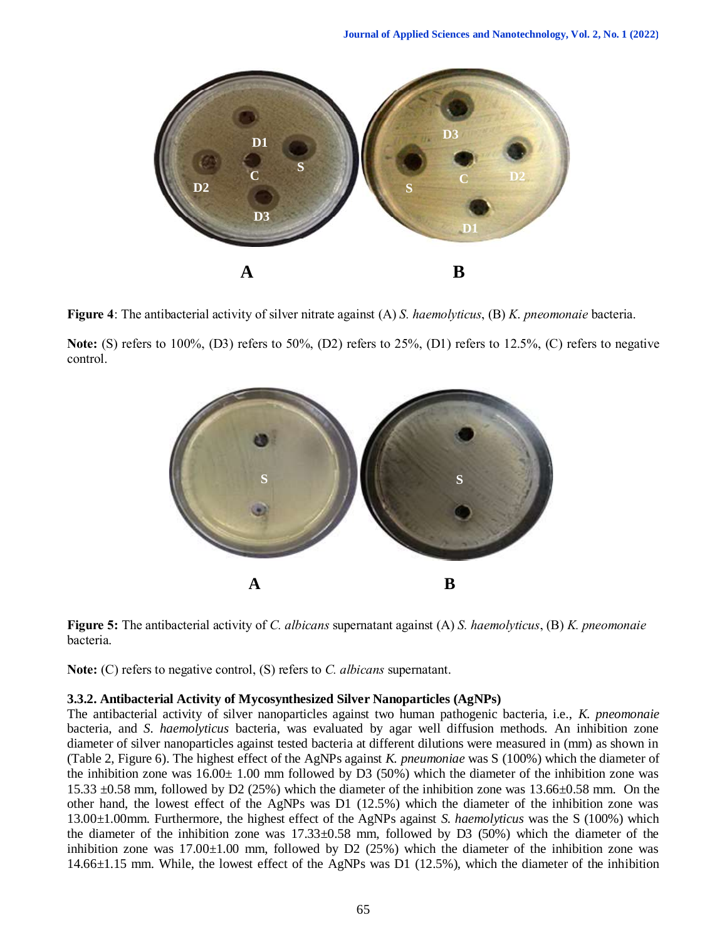

**Figure 4**: The antibacterial activity of silver nitrate against (A) *S. haemolyticus*, (B) *K*. *pneomonaie* bacteria.

**Note:** (S) refers to 100%, (D3) refers to 50%, (D2) refers to 25%, (D1) refers to 12.5%, (C) refers to negative control.



**Figure 5:** The antibacterial activity of *C. albicans* supernatant against (A) *S. haemolyticus*, (B) *K. pneomonaie* bacteria.

**Note:** (C) refers to negative control, (S) refers to *C. albicans* supernatant.

## **3.3.2. Antibacterial Activity of Mycosynthesized Silver Nanoparticles (AgNPs)**

The antibacterial activity of silver nanoparticles against two human pathogenic bacteria, i.e., *K. pneomonaie* bacteria, and *S. haemolyticus* bacteria, was evaluated by agar well diffusion methods. An inhibition zone diameter of silver nanoparticles against tested bacteria at different dilutions were measured in (mm) as shown in (Table 2, Figure 6). The highest effect of the AgNPs against *K. pneumoniae* was S (100%) which the diameter of the inhibition zone was  $16.00 \pm 1.00$  mm followed by D3 (50%) which the diameter of the inhibition zone was 15.33 ±0.58 mm, followed by D2 (25%) which the diameter of the inhibition zone was 13.66±0.58 mm. On the other hand, the lowest effect of the AgNPs was D1 (12.5%) which the diameter of the inhibition zone was 13.00±1.00mm. Furthermore, the highest effect of the AgNPs against *S. haemolyticus* was the S (100%) which the diameter of the inhibition zone was 17.33±0.58 mm, followed by D3 (50%) which the diameter of the inhibition zone was 17.00±1.00 mm, followed by D2 (25%) which the diameter of the inhibition zone was 14.66±1.15 mm. While, the lowest effect of the AgNPs was D1 (12.5%), which the diameter of the inhibition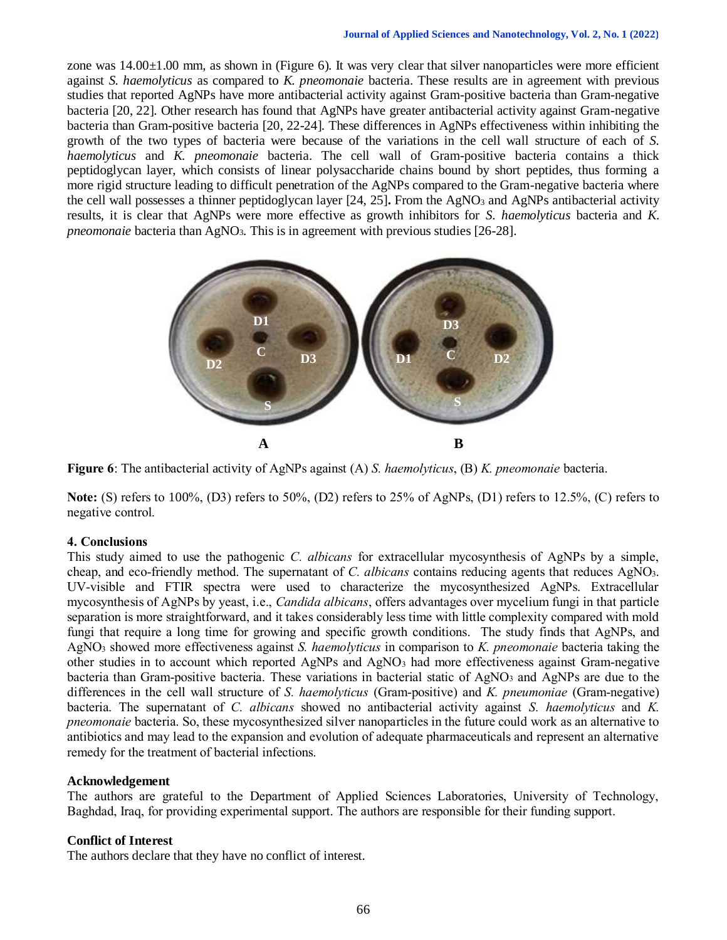zone was 14.00±1.00 mm, as shown in (Figure 6). It was very clear that silver nanoparticles were more efficient against *S. haemolyticus* as compared to *K. pneomonaie* bacteria. These results are in agreement with previous studies that reported AgNPs have more antibacterial activity against Gram-positive bacteria than Gram-negative bacteria [20, 22]. Other research has found that AgNPs have greater antibacterial activity against Gram-negative bacteria than Gram-positive bacteria [20, 22-24]. These differences in AgNPs effectiveness within inhibiting the growth of the two types of bacteria were because of the variations in the cell wall structure of each of *S. haemolyticus* and *K. pneomonaie* bacteria. The cell wall of Gram-positive bacteria contains a thick peptidoglycan layer, which consists of linear polysaccharide chains bound by short peptides, thus forming a more rigid structure leading to difficult penetration of the AgNPs compared to the Gram-negative bacteria where the cell wall possesses a thinner peptidoglycan layer [24, 25]**.** From the AgNO<sup>3</sup> and AgNPs antibacterial activity results, it is clear that AgNPs were more effective as growth inhibitors for *S. haemolyticus* bacteria and *K*. *pneomonaie* bacteria than AgNO<sub>3</sub>. This is in agreement with previous studies [26-28].



**Figure 6**: The antibacterial activity of AgNPs against (A) *S. haemolyticus*, (B) *K. pneomonaie* bacteria.

**Note:** (S) refers to 100%, (D3) refers to 50%, (D2) refers to 25% of AgNPs, (D1) refers to 12.5%, (C) refers to negative control.

## **4. Conclusions**

This study aimed to use the pathogenic *C. albicans* for extracellular mycosynthesis of AgNPs by a simple, cheap, and eco-friendly method. The supernatant of *C. albicans* contains reducing agents that reduces AgNO3. UV-visible and FTIR spectra were used to characterize the mycosynthesized AgNPs. Extracellular mycosynthesis of AgNPs by yeast, i.e., *Candida albicans*, offers advantages over mycelium fungi in that particle separation is more straightforward, and it takes considerably less time with little complexity compared with mold fungi that require a long time for growing and specific growth conditions. The study finds that AgNPs, and AgNO<sup>3</sup> showed more effectiveness against *S. haemolyticus* in comparison to *K. pneomonaie* bacteria taking the other studies in to account which reported AgNPs and AgNO<sup>3</sup> had more effectiveness against Gram-negative bacteria than Gram-positive bacteria. These variations in bacterial static of AgNO<sub>3</sub> and AgNPs are due to the differences in the cell wall structure of *S. haemolyticus* (Gram-positive) and *K. pneumoniae* (Gram-negative) bacteria. The supernatant of *C. albicans* showed no antibacterial activity against *S. haemolyticus* and *K. pneomonaie* bacteria. So, these mycosynthesized silver nanoparticles in the future could work as an alternative to antibiotics and may lead to the expansion and evolution of adequate pharmaceuticals and represent an alternative remedy for the treatment of bacterial infections.

## **Acknowledgement**

The authors are grateful to the Department of Applied Sciences Laboratories, University of Technology, Baghdad, Iraq, for providing experimental support. The authors are responsible for their funding support.

## **Conflict of Interest**

The authors declare that they have no conflict of interest.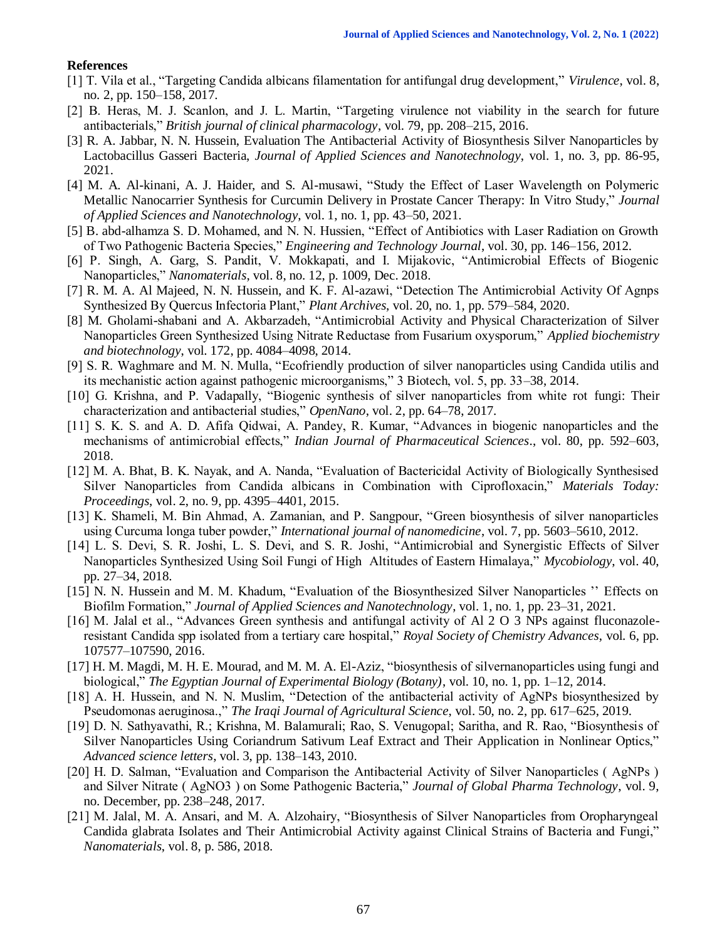#### **References**

- [1] T. Vila et al., "Targeting Candida albicans filamentation for antifungal drug development," *Virulence*, vol. 8, no. 2, pp. 150–158, 2017.
- [2] B. Heras, M. J. Scanlon, and J. L. Martin, "Targeting virulence not viability in the search for future antibacterials," *British journal of clinical pharmacology*, vol. 79, pp. 208–215, 2016.
- [3] R. A. Jabbar, N. N. Hussein, Evaluation The Antibacterial Activity of Biosynthesis Silver Nanoparticles by Lactobacillus Gasseri Bacteria, *Journal of Applied Sciences and Nanotechnology*, vol. 1, no. 3, pp. 86-95, 2021.
- [4] M. A. Al-kinani, A. J. Haider, and S. Al-musawi, "Study the Effect of Laser Wavelength on Polymeric Metallic Nanocarrier Synthesis for Curcumin Delivery in Prostate Cancer Therapy: In Vitro Study," *Journal of Applied Sciences and Nanotechnology*, vol. 1, no. 1, pp. 43–50, 2021.
- [5] B. abd-alhamza S. D. Mohamed, and N. N. Hussien, "Effect of Antibiotics with Laser Radiation on Growth of Two Pathogenic Bacteria Species," *Engineering and Technology Journal*, vol. 30, pp. 146–156, 2012.
- [6] P. Singh, A. Garg, S. Pandit, V. Mokkapati, and I. Mijakovic, "Antimicrobial Effects of Biogenic Nanoparticles," *Nanomaterials*, vol. 8, no. 12, p. 1009, Dec. 2018.
- [7] R. M. A. Al Majeed, N. N. Hussein, and K. F. Al-azawi, "Detection The Antimicrobial Activity Of Agnps Synthesized By Quercus Infectoria Plant," *Plant Archives*, vol. 20, no. 1, pp. 579–584, 2020.
- [8] M. Gholami-shabani and A. Akbarzadeh, "Antimicrobial Activity and Physical Characterization of Silver Nanoparticles Green Synthesized Using Nitrate Reductase from Fusarium oxysporum," *Applied biochemistry and biotechnology*, vol. 172, pp. 4084–4098, 2014.
- [9] S. R. Waghmare and M. N. Mulla, "Ecofriendly production of silver nanoparticles using Candida utilis and its mechanistic action against pathogenic microorganisms," 3 Biotech, vol. 5, pp. 33–38, 2014.
- [10] G. Krishna, and P. Vadapally, "Biogenic synthesis of silver nanoparticles from white rot fungi: Their characterization and antibacterial studies," *OpenNano*, vol. 2, pp. 64–78, 2017.
- [11] S. K. S. and A. D. Afifa Qidwai, A. Pandey, R. Kumar, "Advances in biogenic nanoparticles and the mechanisms of antimicrobial effects," *Indian Journal of Pharmaceutical Sciences*., vol. 80, pp. 592–603, 2018.
- [12] M. A. Bhat, B. K. Nayak, and A. Nanda, "Evaluation of Bactericidal Activity of Biologically Synthesised Silver Nanoparticles from Candida albicans in Combination with Ciprofloxacin," *Materials Today: Proceedings*, vol. 2, no. 9, pp. 4395–4401, 2015.
- [13] K. Shameli, M. Bin Ahmad, A. Zamanian, and P. Sangpour, "Green biosynthesis of silver nanoparticles using Curcuma longa tuber powder," *International journal of nanomedicine*, vol. 7, pp. 5603–5610, 2012.
- [14] L. S. Devi, S. R. Joshi, L. S. Devi, and S. R. Joshi, "Antimicrobial and Synergistic Effects of Silver Nanoparticles Synthesized Using Soil Fungi of High Altitudes of Eastern Himalaya," *Mycobiology*, vol. 40, pp. 27–34, 2018.
- [15] N. N. Hussein and M. M. Khadum, "Evaluation of the Biosynthesized Silver Nanoparticles '' Effects on Biofilm Formation," *Journal of Applied Sciences and Nanotechnology*, vol. 1, no. 1, pp. 23–31, 2021.
- [16] M. Jalal et al., "Advances Green synthesis and antifungal activity of Al 2 O 3 NPs against fluconazoleresistant Candida spp isolated from a tertiary care hospital," *Royal Society of Chemistry Advances*, vol. 6, pp. 107577–107590, 2016.
- [17] H. M. Magdi, M. H. E. Mourad, and M. M. A. El-Aziz, "biosynthesis of silvernanoparticles using fungi and biological," *The Egyptian Journal of Experimental Biology (Botany)*, vol. 10, no. 1, pp. 1–12, 2014.
- [18] A. H. Hussein, and N. N. Muslim, "Detection of the antibacterial activity of AgNPs biosynthesized by Pseudomonas aeruginosa.," *The Iraqi Journal of Agricultural Science*, vol. 50, no. 2, pp. 617–625, 2019.
- [19] D. N. Sathyavathi, R.; Krishna, M. Balamurali; Rao, S. Venugopal; Saritha, and R. Rao, "Biosynthesis of Silver Nanoparticles Using Coriandrum Sativum Leaf Extract and Their Application in Nonlinear Optics," *Advanced science letters*, vol. 3, pp. 138–143, 2010.
- [20] H. D. Salman, "Evaluation and Comparison the Antibacterial Activity of Silver Nanoparticles ( AgNPs ) and Silver Nitrate ( AgNO3 ) on Some Pathogenic Bacteria," *Journal of Global Pharma Technology*, vol. 9, no. December, pp. 238–248, 2017.
- [21] M. Jalal, M. A. Ansari, and M. A. Alzohairy, "Biosynthesis of Silver Nanoparticles from Oropharyngeal Candida glabrata Isolates and Their Antimicrobial Activity against Clinical Strains of Bacteria and Fungi," *Nanomaterials*, vol. 8, p. 586, 2018.